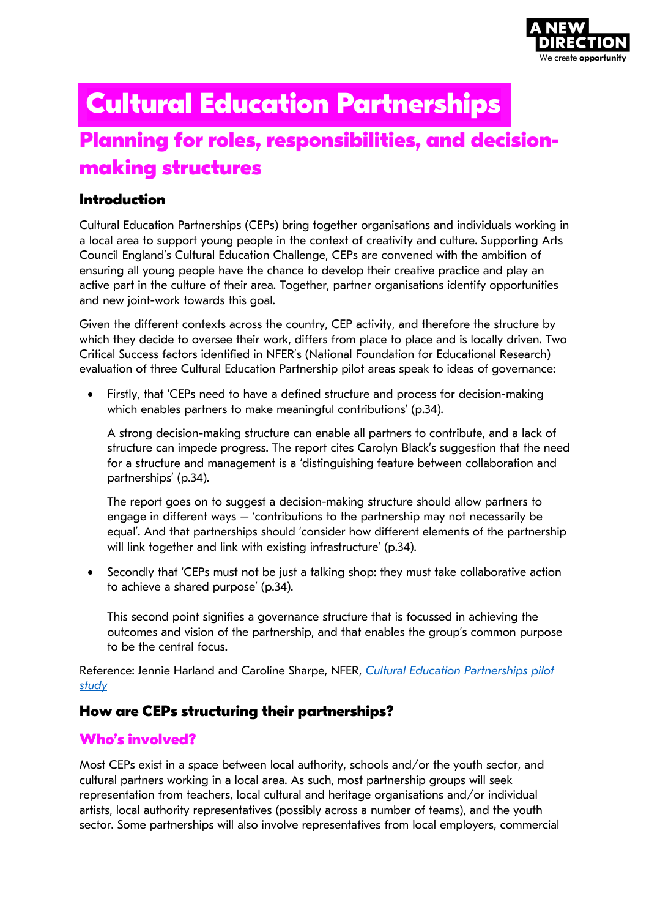

# **Planning for roles, responsibilities, and decisionmaking structures Cultural Education Partnerships**

# **Introduction**

Cultural Education Partnerships (CEPs) bring together organisations and individuals working in a local area to support young people in the context of creativity and culture. Supporting Arts Council England's Cultural Education Challenge, CEPs are convened with the ambition of ensuring all young people have the chance to develop their creative practice and play an active part in the culture of their area. Together, partner organisations identify opportunities and new joint-work towards this goal.

Given the different contexts across the country, CEP activity, and therefore the structure by which they decide to oversee their work, differs from place to place and is locally driven. Two Critical Success factors identified in NFER's (National Foundation for Educational Research) evaluation of three Cultural Education Partnership pilot areas speak to ideas of governance:

• Firstly, that 'CEPs need to have a defined structure and process for decision-making which enables partners to make meaningful contributions' (p.34).

A strong decision-making structure can enable all partners to contribute, and a lack of structure can impede progress. The report cites Carolyn Black's suggestion that the need for a structure and management is a 'distinguishing feature between collaboration and partnerships' (p.34).

The report goes on to suggest a decision-making structure should allow partners to engage in different ways – 'contributions to the partnership may not necessarily be equal'. And that partnerships should 'consider how different elements of the partnership will link together and link with existing infrastructure' (p.34).

• Secondly that 'CEPs must not be just a talking shop: they must take collaborative action to achieve a shared purpose' (p.34).

This second point signifies a governance structure that is focussed in achieving the outcomes and vision of the partnership, and that enables the group's common purpose to be the central focus.

Reference: Jennie Harland and Caroline Sharpe, NFER, *[Cultural Education Partnerships pilot](https://www.nfer.ac.uk/publications/CEPP01/CEPP01.pdf)  [study](https://www.nfer.ac.uk/publications/CEPP01/CEPP01.pdf)*

# **How are CEPs structuring their partnerships?**

# **Who's involved?**

Most CEPs exist in a space between local authority, schools and/or the youth sector, and cultural partners working in a local area. As such, most partnership groups will seek representation from teachers, local cultural and heritage organisations and/or individual artists, local authority representatives (possibly across a number of teams), and the youth sector. Some partnerships will also involve representatives from local employers, commercial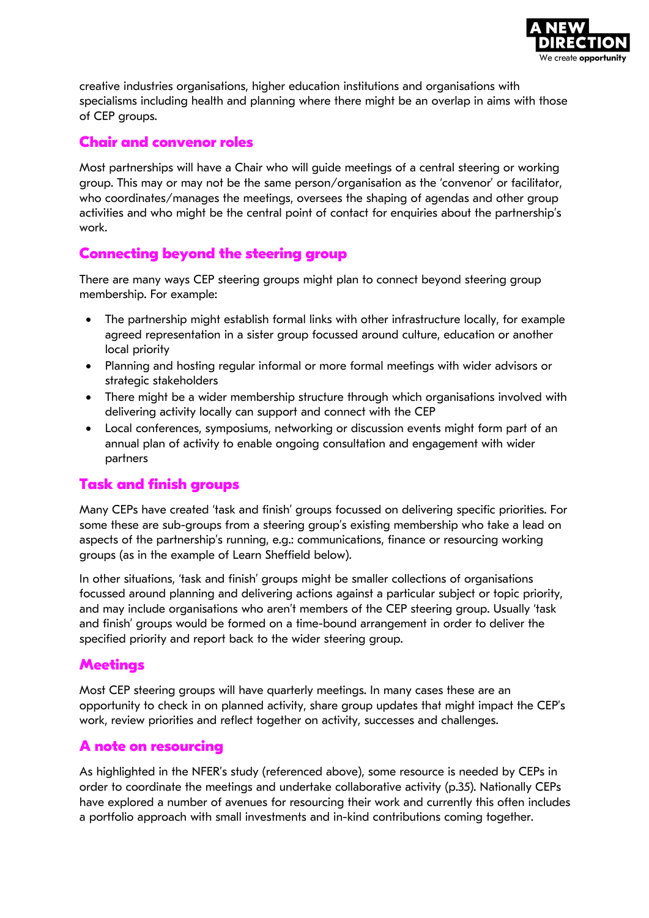

creative industries organisations, higher education institutions and organisations with specialisms including health and planning where there might be an overlap in aims with those of CEP groups.

## **Chair and convenor roles**

Most partnerships will have a Chair who will guide meetings of a central steering or working group. This may or may not be the same person/organisation as the 'convenor' or facilitator, who coordinates/manages the meetings, oversees the shaping of agendas and other group activities and who might be the central point of contact for enquiries about the partnership's work.

## **Connecting beyond the steering group**

There are many ways CEP steering groups might plan to connect beyond steering group membership. For example:

- The partnership might establish formal links with other infrastructure locally, for example agreed representation in a sister group focussed around culture, education or another local priority
- Planning and hosting regular informal or more formal meetings with wider advisors or strategic stakeholders
- There might be a wider membership structure through which organisations involved with delivering activity locally can support and connect with the CEP
- Local conferences, symposiums, networking or discussion events might form part of an annual plan of activity to enable ongoing consultation and engagement with wider partners

#### **Task and finish groups**

Many CEPs have created 'task and finish' groups focussed on delivering specific priorities. For some these are sub-groups from a steering group's existing membership who take a lead on aspects of the partnership's running, e.g.: communications, finance or resourcing working groups (as in the example of Learn Sheffield below).

In other situations, 'task and finish' groups might be smaller collections of organisations focussed around planning and delivering actions against a particular subject or topic priority, and may include organisations who aren't members of the CEP steering group. Usually 'task and finish' groups would be formed on a time-bound arrangement in order to deliver the specified priority and report back to the wider steering group.

## **Meetings**

Most CEP steering groups will have quarterly meetings. In many cases these are an opportunity to check in on planned activity, share group updates that might impact the CEP's work, review priorities and reflect together on activity, successes and challenges.

#### **A note on resourcing**

As highlighted in the NFER's study (referenced above), some resource is needed by CEPs in order to coordinate the meetings and undertake collaborative activity (p.35). Nationally CEPs have explored a number of avenues for resourcing their work and currently this often includes a portfolio approach with small investments and in-kind contributions coming together.